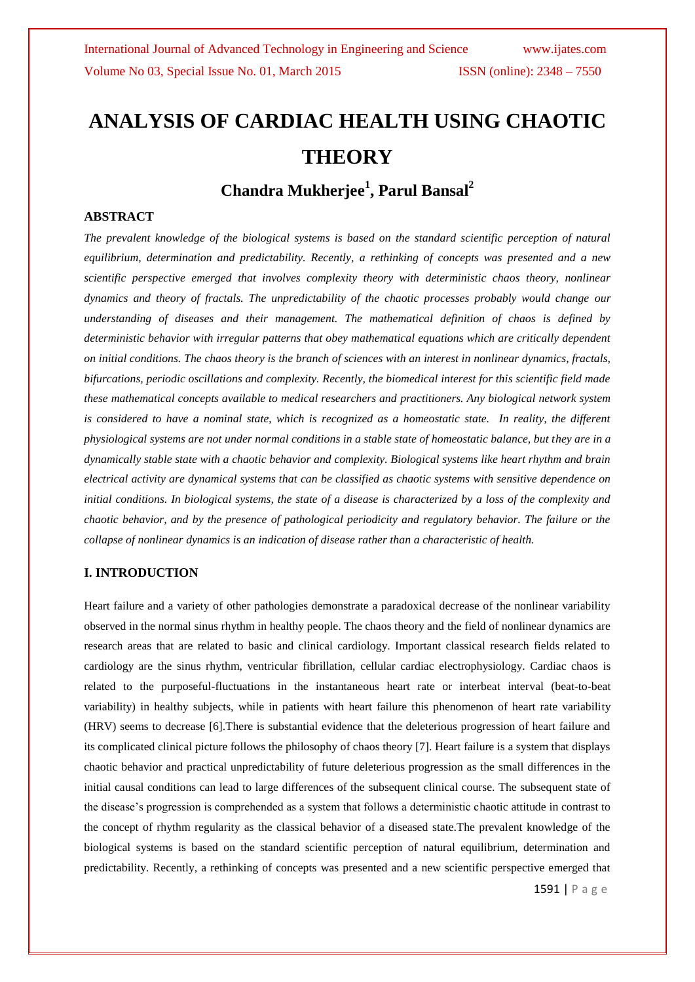# **ANALYSIS OF CARDIAC HEALTH USING CHAOTIC THEORY**

# **Chandra Mukherjee<sup>1</sup> , Parul Bansal<sup>2</sup>**

# **ABSTRACT**

*The prevalent knowledge of the biological systems is based on the standard scientific perception of natural equilibrium, determination and predictability. Recently, a rethinking of concepts was presented and a new scientific perspective emerged that involves complexity theory with deterministic chaos theory, nonlinear dynamics and theory of fractals. The unpredictability of the chaotic processes probably would change our understanding of diseases and their management. The mathematical definition of chaos is defined by deterministic behavior with irregular patterns that obey mathematical equations which are critically dependent on initial conditions. The chaos theory is the branch of sciences with an interest in nonlinear dynamics, fractals, bifurcations, periodic oscillations and complexity. Recently, the biomedical interest for this scientific field made these mathematical concepts available to medical researchers and practitioners. Any biological network system is considered to have a nominal state, which is recognized as a homeostatic state. In reality, the different physiological systems are not under normal conditions in a stable state of homeostatic balance, but they are in a dynamically stable state with a chaotic behavior and complexity. Biological systems like heart rhythm and brain electrical activity are dynamical systems that can be classified as chaotic systems with sensitive dependence on initial conditions. In biological systems, the state of a disease is characterized by a loss of the complexity and chaotic behavior, and by the presence of pathological periodicity and regulatory behavior. The failure or the collapse of nonlinear dynamics is an indication of disease rather than a characteristic of health.*

# **I. INTRODUCTION**

Heart failure and a variety of other pathologies demonstrate a paradoxical decrease of the nonlinear variability observed in the normal sinus rhythm in healthy people. The chaos theory and the field of nonlinear dynamics are research areas that are related to basic and clinical cardiology. Important classical research fields related to cardiology are the sinus rhythm, ventricular fibrillation, cellular cardiac electrophysiology. Cardiac chaos is related to the purposeful-fluctuations in the instantaneous heart rate or interbeat interval (beat-to-beat variability) in healthy subjects, while in patients with heart failure this phenomenon of heart rate variability (HRV) seems to decrease [6].There is substantial evidence that the deleterious progression of heart failure and its complicated clinical picture follows the philosophy of chaos theory [7]. Heart failure is a system that displays chaotic behavior and practical unpredictability of future deleterious progression as the small differences in the initial causal conditions can lead to large differences of the subsequent clinical course. The subsequent state of the disease's progression is comprehended as a system that follows a deterministic chaotic attitude in contrast to the concept of rhythm regularity as the classical behavior of a diseased state.The prevalent knowledge of the biological systems is based on the standard scientific perception of natural equilibrium, determination and predictability. Recently, a rethinking of concepts was presented and a new scientific perspective emerged that

1591 | P a g e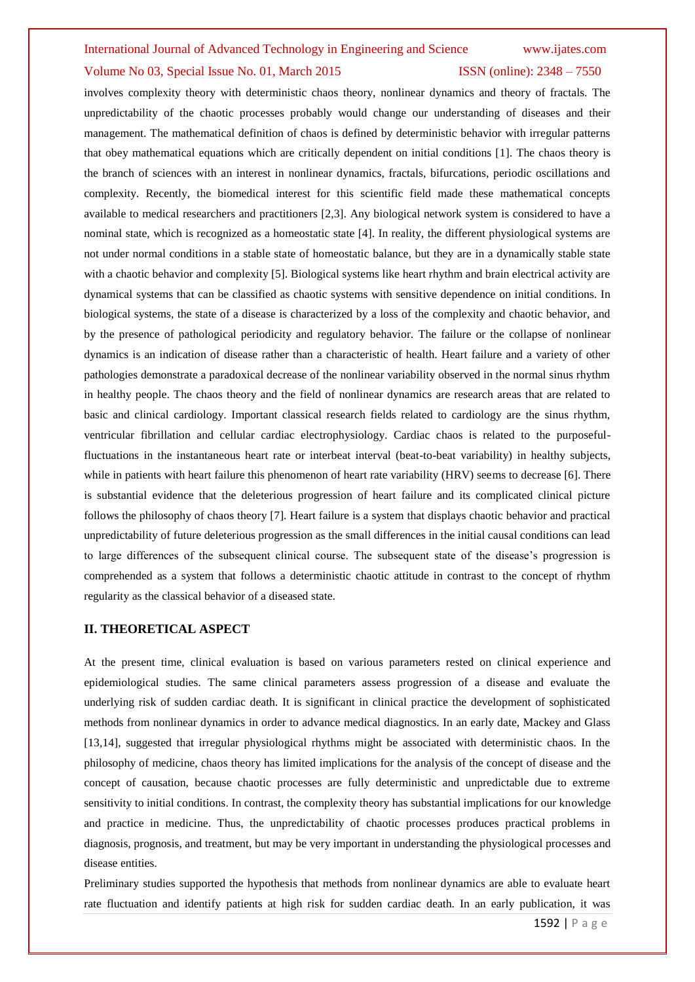# Volume No 03, Special Issue No. 01, March 2015 **ISSN** (online): 2348 – 7550

involves complexity theory with deterministic chaos theory, nonlinear dynamics and theory of fractals. The unpredictability of the chaotic processes probably would change our understanding of diseases and their management. The mathematical definition of chaos is defined by deterministic behavior with irregular patterns that obey mathematical equations which are critically dependent on initial conditions [1]. The chaos theory is the branch of sciences with an interest in nonlinear dynamics, fractals, bifurcations, periodic oscillations and complexity. Recently, the biomedical interest for this scientific field made these mathematical concepts available to medical researchers and practitioners [2,3]. Any biological network system is considered to have a nominal state, which is recognized as a homeostatic state [4]. In reality, the different physiological systems are not under normal conditions in a stable state of homeostatic balance, but they are in a dynamically stable state with a chaotic behavior and complexity [5]. Biological systems like heart rhythm and brain electrical activity are dynamical systems that can be classified as chaotic systems with sensitive dependence on initial conditions. In biological systems, the state of a disease is characterized by a loss of the complexity and chaotic behavior, and by the presence of pathological periodicity and regulatory behavior. The failure or the collapse of nonlinear dynamics is an indication of disease rather than a characteristic of health. Heart failure and a variety of other pathologies demonstrate a paradoxical decrease of the nonlinear variability observed in the normal sinus rhythm in healthy people. The chaos theory and the field of nonlinear dynamics are research areas that are related to basic and clinical cardiology. Important classical research fields related to cardiology are the sinus rhythm, ventricular fibrillation and cellular cardiac electrophysiology. Cardiac chaos is related to the purposefulfluctuations in the instantaneous heart rate or interbeat interval (beat-to-beat variability) in healthy subjects, while in patients with heart failure this phenomenon of heart rate variability (HRV) seems to decrease [6]. There is substantial evidence that the deleterious progression of heart failure and its complicated clinical picture follows the philosophy of chaos theory [7]. Heart failure is a system that displays chaotic behavior and practical unpredictability of future deleterious progression as the small differences in the initial causal conditions can lead to large differences of the subsequent clinical course. The subsequent state of the disease's progression is comprehended as a system that follows a deterministic chaotic attitude in contrast to the concept of rhythm regularity as the classical behavior of a diseased state.

## **II. THEORETICAL ASPECT**

At the present time, clinical evaluation is based on various parameters rested on clinical experience and epidemiological studies. The same clinical parameters assess progression of a disease and evaluate the underlying risk of sudden cardiac death. It is significant in clinical practice the development of sophisticated methods from nonlinear dynamics in order to advance medical diagnostics. In an early date, Mackey and Glass [13,14], suggested that irregular physiological rhythms might be associated with deterministic chaos. In the philosophy of medicine, chaos theory has limited implications for the analysis of the concept of disease and the concept of causation, because chaotic processes are fully deterministic and unpredictable due to extreme sensitivity to initial conditions. In contrast, the complexity theory has substantial implications for our knowledge and practice in medicine. Thus, the unpredictability of chaotic processes produces practical problems in diagnosis, prognosis, and treatment, but may be very important in understanding the physiological processes and disease entities.

Preliminary studies supported the hypothesis that methods from nonlinear dynamics are able to evaluate heart rate fluctuation and identify patients at high risk for sudden cardiac death. In an early publication, it was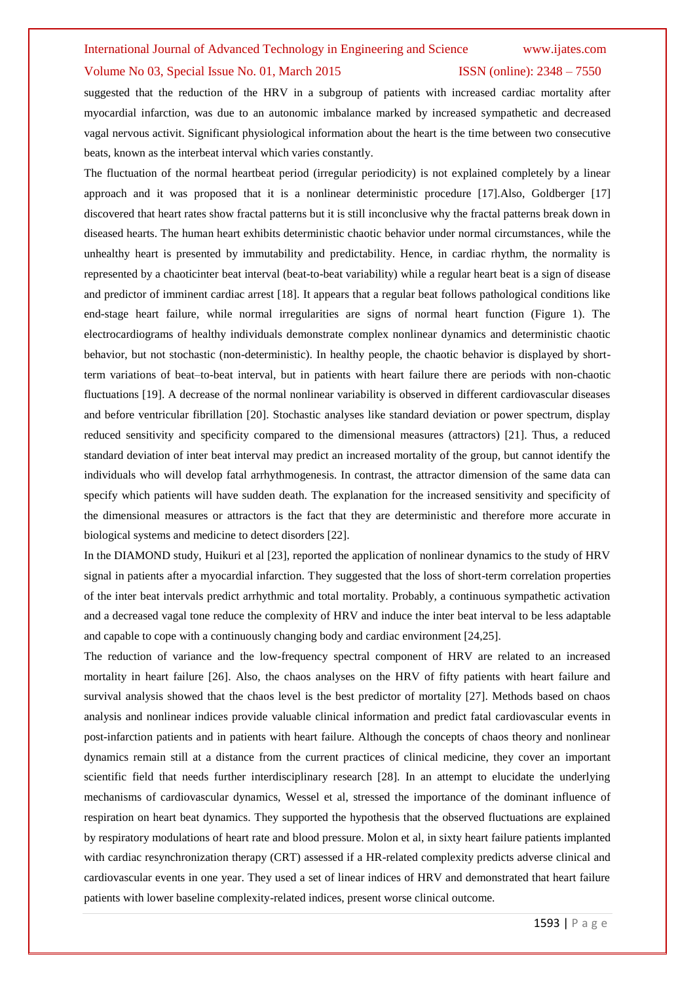# Volume No 03, Special Issue No. 01, March 2015 **ISSN** (online): 2348 – 7550

suggested that the reduction of the HRV in a subgroup of patients with increased cardiac mortality after myocardial infarction, was due to an autonomic imbalance marked by increased sympathetic and decreased vagal nervous activit. Significant physiological information about the heart is the time between two consecutive beats, known as the interbeat interval which varies constantly.

The fluctuation of the normal heartbeat period (irregular periodicity) is not explained completely by a linear approach and it was proposed that it is a nonlinear deterministic procedure [17].Also, Goldberger [17] discovered that heart rates show fractal patterns but it is still inconclusive why the fractal patterns break down in diseased hearts. The human heart exhibits deterministic chaotic behavior under normal circumstances, while the unhealthy heart is presented by immutability and predictability. Hence, in cardiac rhythm, the normality is represented by a chaoticinter beat interval (beat-to-beat variability) while a regular heart beat is a sign of disease and predictor of imminent cardiac arrest [18]. It appears that a regular beat follows pathological conditions like end-stage heart failure, while normal irregularities are signs of normal heart function (Figure 1). The electrocardiograms of healthy individuals demonstrate complex nonlinear dynamics and deterministic chaotic behavior, but not stochastic (non-deterministic). In healthy people, the chaotic behavior is displayed by shortterm variations of beat–to-beat interval, but in patients with heart failure there are periods with non-chaotic fluctuations [19]. A decrease of the normal nonlinear variability is observed in different cardiovascular diseases and before ventricular fibrillation [20]. Stochastic analyses like standard deviation or power spectrum, display reduced sensitivity and specificity compared to the dimensional measures (attractors) [21]. Thus, a reduced standard deviation of inter beat interval may predict an increased mortality of the group, but cannot identify the individuals who will develop fatal arrhythmogenesis. In contrast, the attractor dimension of the same data can specify which patients will have sudden death. The explanation for the increased sensitivity and specificity of the dimensional measures or attractors is the fact that they are deterministic and therefore more accurate in biological systems and medicine to detect disorders [22].

In the DIAMOND study, Huikuri et al [23], reported the application of nonlinear dynamics to the study of HRV signal in patients after a myocardial infarction. They suggested that the loss of short-term correlation properties of the inter beat intervals predict arrhythmic and total mortality. Probably, a continuous sympathetic activation and a decreased vagal tone reduce the complexity of HRV and induce the inter beat interval to be less adaptable and capable to cope with a continuously changing body and cardiac environment [24,25].

The reduction of variance and the low-frequency spectral component of HRV are related to an increased mortality in heart failure [26]. Also, the chaos analyses on the HRV of fifty patients with heart failure and survival analysis showed that the chaos level is the best predictor of mortality [27]. Methods based on chaos analysis and nonlinear indices provide valuable clinical information and predict fatal cardiovascular events in post-infarction patients and in patients with heart failure. Although the concepts of chaos theory and nonlinear dynamics remain still at a distance from the current practices of clinical medicine, they cover an important scientific field that needs further interdisciplinary research [28]. In an attempt to elucidate the underlying mechanisms of cardiovascular dynamics, Wessel et al, stressed the importance of the dominant influence of respiration on heart beat dynamics. They supported the hypothesis that the observed fluctuations are explained by respiratory modulations of heart rate and blood pressure. Molon et al, in sixty heart failure patients implanted with cardiac resynchronization therapy (CRT) assessed if a HR-related complexity predicts adverse clinical and cardiovascular events in one year. They used a set of linear indices of HRV and demonstrated that heart failure patients with lower baseline complexity-related indices, present worse clinical outcome.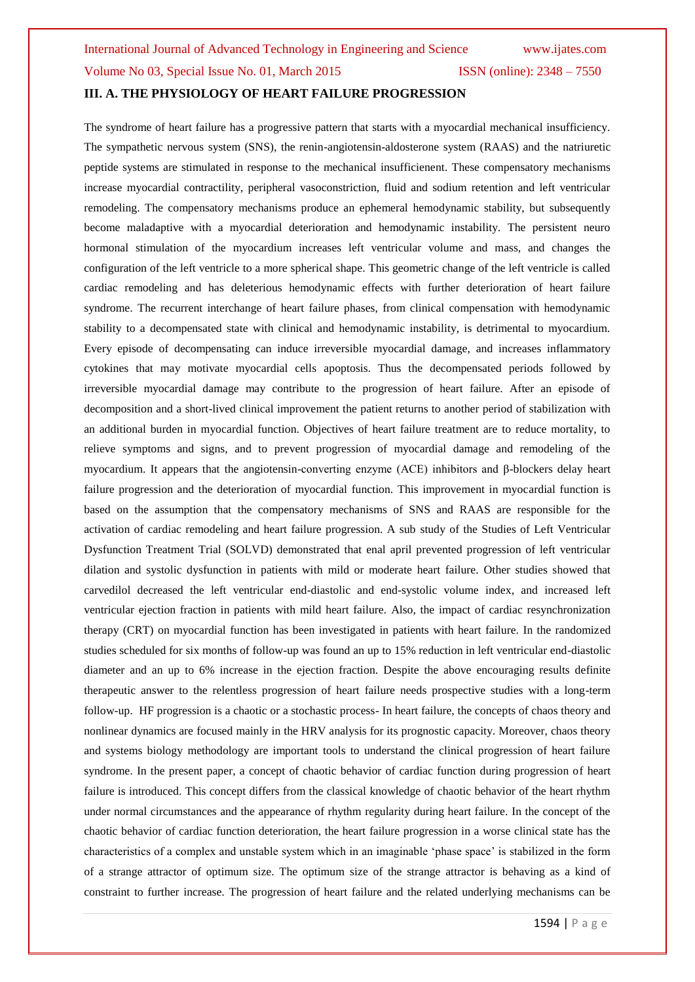# **III. A. THE PHYSIOLOGY OF HEART FAILURE PROGRESSION**

The syndrome of heart failure has a progressive pattern that starts with a myocardial mechanical insufficiency. The sympathetic nervous system (SNS), the renin-angiotensin-aldosterone system (RAAS) and the natriuretic peptide systems are stimulated in response to the mechanical insufficienent. These compensatory mechanisms increase myocardial contractility, peripheral vasoconstriction, fluid and sodium retention and left ventricular remodeling. The compensatory mechanisms produce an ephemeral hemodynamic stability, but subsequently become maladaptive with a myocardial deterioration and hemodynamic instability. The persistent neuro hormonal stimulation of the myocardium increases left ventricular volume and mass, and changes the configuration of the left ventricle to a more spherical shape. This geometric change of the left ventricle is called cardiac remodeling and has deleterious hemodynamic effects with further deterioration of heart failure syndrome. The recurrent interchange of heart failure phases, from clinical compensation with hemodynamic stability to a decompensated state with clinical and hemodynamic instability, is detrimental to myocardium. Every episode of decompensating can induce irreversible myocardial damage, and increases inflammatory cytokines that may motivate myocardial cells apoptosis. Thus the decompensated periods followed by irreversible myocardial damage may contribute to the progression of heart failure. After an episode of decomposition and a short-lived clinical improvement the patient returns to another period of stabilization with an additional burden in myocardial function. Objectives of heart failure treatment are to reduce mortality, to relieve symptoms and signs, and to prevent progression of myocardial damage and remodeling of the myocardium. It appears that the angiotensin-converting enzyme (ACE) inhibitors and β-blockers delay heart failure progression and the deterioration of myocardial function. This improvement in myocardial function is based on the assumption that the compensatory mechanisms of SNS and RAAS are responsible for the activation of cardiac remodeling and heart failure progression. A sub study of the Studies of Left Ventricular Dysfunction Treatment Trial (SOLVD) demonstrated that enal april prevented progression of left ventricular dilation and systolic dysfunction in patients with mild or moderate heart failure. Other studies showed that carvedilol decreased the left ventricular end-diastolic and end-systolic volume index, and increased left ventricular ejection fraction in patients with mild heart failure. Also, the impact of cardiac resynchronization therapy (CRT) on myocardial function has been investigated in patients with heart failure. In the randomized studies scheduled for six months of follow-up was found an up to 15% reduction in left ventricular end-diastolic diameter and an up to 6% increase in the ejection fraction. Despite the above encouraging results definite therapeutic answer to the relentless progression of heart failure needs prospective studies with a long-term follow-up. HF progression is a chaotic or a stochastic process- In heart failure, the concepts of chaos theory and nonlinear dynamics are focused mainly in the HRV analysis for its prognostic capacity. Moreover, chaos theory and systems biology methodology are important tools to understand the clinical progression of heart failure syndrome. In the present paper, a concept of chaotic behavior of cardiac function during progression of heart failure is introduced. This concept differs from the classical knowledge of chaotic behavior of the heart rhythm under normal circumstances and the appearance of rhythm regularity during heart failure. In the concept of the chaotic behavior of cardiac function deterioration, the heart failure progression in a worse clinical state has the characteristics of a complex and unstable system which in an imaginable 'phase space' is stabilized in the form of a strange attractor of optimum size. The optimum size of the strange attractor is behaving as a kind of constraint to further increase. The progression of heart failure and the related underlying mechanisms can be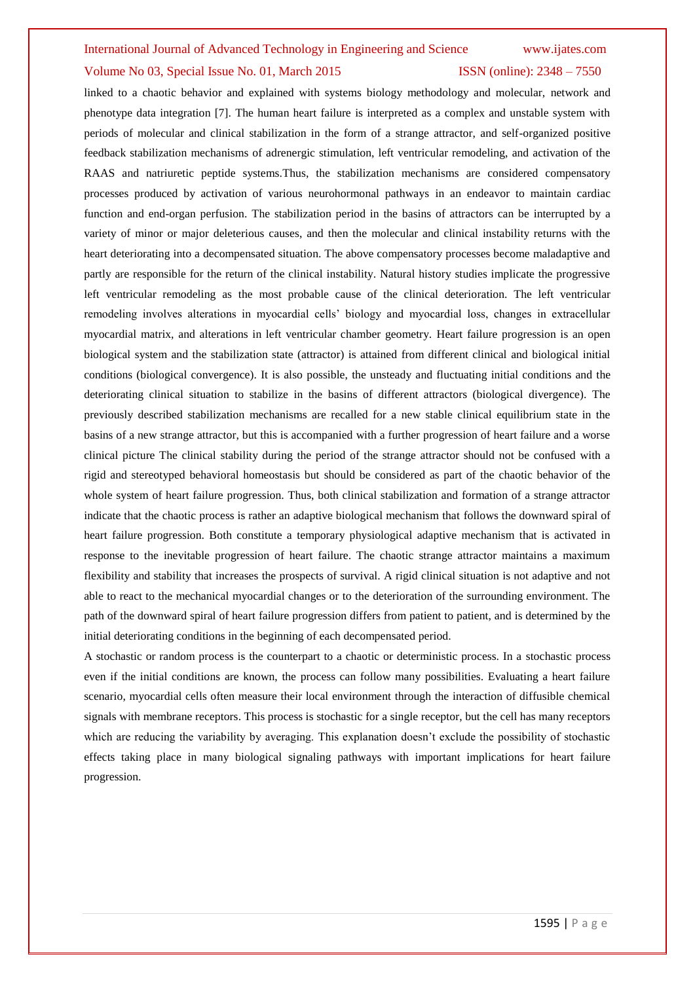## Volume No 03, Special Issue No. 01, March 2015 **ISSN** (online): 2348 – 7550

linked to a chaotic behavior and explained with systems biology methodology and molecular, network and phenotype data integration [7]. The human heart failure is interpreted as a complex and unstable system with periods of molecular and clinical stabilization in the form of a strange attractor, and self-organized positive feedback stabilization mechanisms of adrenergic stimulation, left ventricular remodeling, and activation of the RAAS and natriuretic peptide systems.Thus, the stabilization mechanisms are considered compensatory processes produced by activation of various neurohormonal pathways in an endeavor to maintain cardiac function and end-organ perfusion. The stabilization period in the basins of attractors can be interrupted by a variety of minor or major deleterious causes, and then the molecular and clinical instability returns with the heart deteriorating into a decompensated situation. The above compensatory processes become maladaptive and partly are responsible for the return of the clinical instability. Natural history studies implicate the progressive left ventricular remodeling as the most probable cause of the clinical deterioration. The left ventricular remodeling involves alterations in myocardial cells' biology and myocardial loss, changes in extracellular myocardial matrix, and alterations in left ventricular chamber geometry. Heart failure progression is an open biological system and the stabilization state (attractor) is attained from different clinical and biological initial conditions (biological convergence). It is also possible, the unsteady and fluctuating initial conditions and the deteriorating clinical situation to stabilize in the basins of different attractors (biological divergence). The previously described stabilization mechanisms are recalled for a new stable clinical equilibrium state in the basins of a new strange attractor, but this is accompanied with a further progression of heart failure and a worse clinical picture The clinical stability during the period of the strange attractor should not be confused with a rigid and stereotyped behavioral homeostasis but should be considered as part of the chaotic behavior of the whole system of heart failure progression. Thus, both clinical stabilization and formation of a strange attractor indicate that the chaotic process is rather an adaptive biological mechanism that follows the downward spiral of heart failure progression. Both constitute a temporary physiological adaptive mechanism that is activated in response to the inevitable progression of heart failure. The chaotic strange attractor maintains a maximum flexibility and stability that increases the prospects of survival. A rigid clinical situation is not adaptive and not able to react to the mechanical myocardial changes or to the deterioration of the surrounding environment. The path of the downward spiral of heart failure progression differs from patient to patient, and is determined by the initial deteriorating conditions in the beginning of each decompensated period.

A stochastic or random process is the counterpart to a chaotic or deterministic process. In a stochastic process even if the initial conditions are known, the process can follow many possibilities. Evaluating a heart failure scenario, myocardial cells often measure their local environment through the interaction of diffusible chemical signals with membrane receptors. This process is stochastic for a single receptor, but the cell has many receptors which are reducing the variability by averaging. This explanation doesn't exclude the possibility of stochastic effects taking place in many biological signaling pathways with important implications for heart failure progression.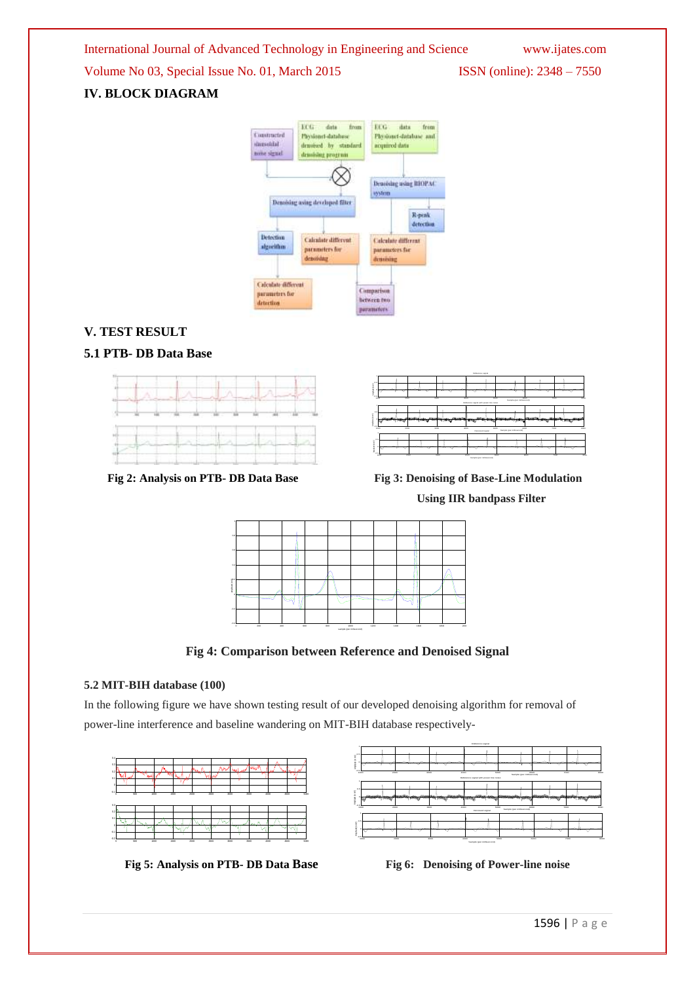Volume No 03, Special Issue No. 01, March 2015 ISSN (online): 2348 – 7550

# **IV. BLOCK DIAGRAM**



# **V. TEST RESULT**

# **5.1 PTB- DB Data Base**





Fig 2: Analysis on PTB- DB Data Base Fig 3: Denoising of Base-Line Modulation  **Using IIR bandpass Filter**



**Fig 4: Comparison between Reference and Denoised Signal**

# **5.2 MIT-BIH database (100)**

In the following figure we have shown testing result of our developed denoising algorithm for removal of power-line interference and baseline wandering on MIT-BIH database respectively-



**Fig 5: Analysis on PTB- DB Data Base Fig 6: Denoising of Power-line noise**

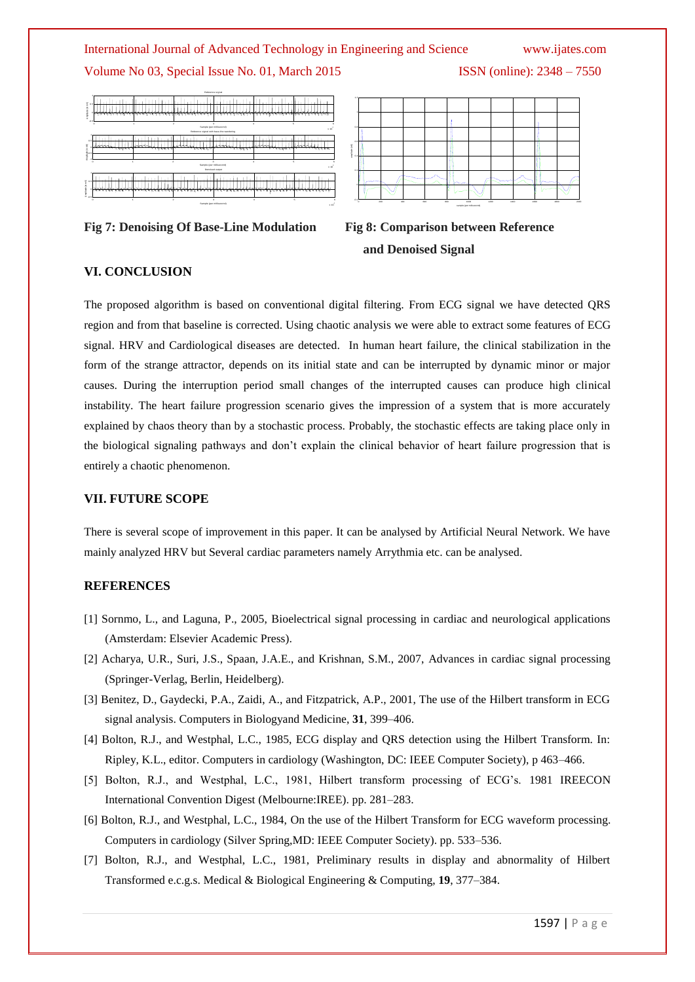

x 10

|                                                                                                                                         |      |                             | Reference signal         |                             |      |  |
|-----------------------------------------------------------------------------------------------------------------------------------------|------|-----------------------------|--------------------------|-----------------------------|------|--|
| Ample usie (in mV/)<br>٥                                                                                                                | en v | الماطان فالمارية والمناولين | an dana dala             | ٠W.<br>ww<br><b>.</b><br>чн | 71 W |  |
| ۰<br>$\circ$<br>$\sim$<br>c<br>Sample (per millisecond)<br>٠<br>$\times 10$<br>Reference signal with base-line wandering                |      |                             |                          |                             |      |  |
| 0.5<br>And ka (h m/)                                                                                                                    |      |                             |                          |                             |      |  |
| ×.<br>$\overline{\mathbf{z}}$<br>٠<br>٠o<br>c<br>$\overline{\phantom{a}}$<br>Sample (per militaecond)<br>$\times 10$<br>Denoised output |      |                             |                          |                             |      |  |
| o.<br>×<br>Amplitud<br>$-0.5$                                                                                                           |      |                             |                          |                             |      |  |
|                                                                                                                                         | ×    |                             | Sample (per millisecond) |                             |      |  |







# **VI. CONCLUSION**

**EXERIBATION CONFIDENTIATE AND ANTIFICATION**<br> **EXERCISE THE AND INTERFERIENCE INTERFERIENCE INTERFERIENCE INTERFERIENCE IN A GALACTER CONFIDENTIATE (SEE 1597 PARTICLES) THE CONFIDENTIATE (SEE 1597 FIGURE 2001), THE CONFID** The proposed algorithm is based on conventional digital filtering. From ECG signal we have detected QRS region and from that baseline is corrected. Using chaotic analysis we were able to extract some features of ECG signal. HRV and Cardiological diseases are detected. In human heart failure, the clinical stabilization in the form of the strange attractor, depends on its initial state and can be interrupted by dynamic minor or major causes. During the interruption period small changes of the interrupted causes can produce high clinical instability. The heart failure progression scenario gives the impression of a system that is more accurately explained by chaos theory than by a stochastic process. Probably, the stochastic effects are taking place only in the biological signaling pathways and don't explain the clinical behavior of heart failure progression that is entirely a chaotic phenomenon.

# **VII. FUTURE SCOPE**

There is several scope of improvement in this paper. It can be analysed by Artificial Neural Network. We have mainly analyzed HRV but Several cardiac parameters namely Arrythmia etc. can be analysed.

# **REFERENCES**

- [1] Sornmo, L., and Laguna, P., 2005, Bioelectrical signal processing in cardiac and neurological applications (Amsterdam: Elsevier Academic Press).
- [2] Acharya, U.R., Suri, J.S., Spaan, J.A.E., and Krishnan, S.M., 2007, Advances in cardiac signal processing (Springer-Verlag, Berlin, Heidelberg).
- [3] Benitez, D., Gaydecki, P.A., Zaidi, A., and Fitzpatrick, A.P., 2001, The use of the Hilbert transform in ECG signal analysis. Computers in Biologyand Medicine, **31**, 399–406.
- [4] Bolton, R.J., and Westphal, L.C., 1985, ECG display and QRS detection using the Hilbert Transform. In: Ripley, K.L., editor. Computers in cardiology (Washington, DC: IEEE Computer Society), p 463–466.
- [5] Bolton, R.J., and Westphal, L.C., 1981, Hilbert transform processing of ECG's. 1981 IREECON International Convention Digest (Melbourne:IREE). pp. 281–283.
- [6] Bolton, R.J., and Westphal, L.C., 1984, On the use of the Hilbert Transform for ECG waveform processing. Computers in cardiology (Silver Spring,MD: IEEE Computer Society). pp. 533–536.
- [7] Bolton, R.J., and Westphal, L.C., 1981, Preliminary results in display and abnormality of Hilbert Transformed e.c.g.s. Medical & Biological Engineering & Computing, **19**, 377–384.